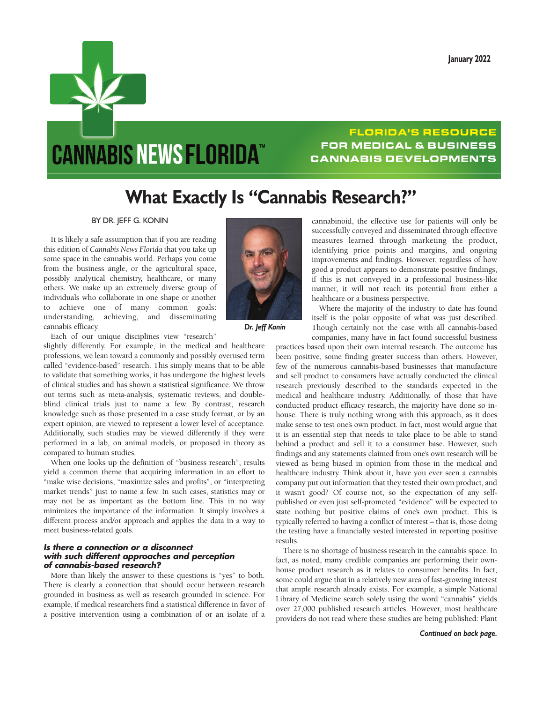

## **FLORIDA'S RESOURCE FOR MEDICAL & BUSINESS CANNABIS DEVELOPMENTS**

## **What Exactly Is "Cannabis Research?"**

BY DR. JEFF G. KONIN

It is likely a safe assumption that if you are reading this edition of *Cannabis News Florida* that you take up some space in the cannabis world. Perhaps you come from the business angle, or the agricultural space, possibly analytical chemistry, healthcare, or many others. We make up an extremely diverse group of individuals who collaborate in one shape or another to achieve one of many common goals: understanding, achieving, and disseminating cannabis efficacy.



 *Dr. Jeff Konin*

Each of our unique disciplines view "research"

slightly differently. For example, in the medical and healthcare professions, we lean toward a commonly and possibly overused term called "evidence-based" research. This simply means that to be able to validate that something works, it has undergone the highest levels of clinical studies and has shown a statistical significance. We throw out terms such as meta-analysis, systematic reviews, and doubleblind clinical trials just to name a few. By contrast, research knowledge such as those presented in a case study format, or by an expert opinion, are viewed to represent a lower level of acceptance. Additionally, such studies may be viewed differently if they were performed in a lab, on animal models, or proposed in theory as compared to human studies.

When one looks up the definition of "business research", results yield a common theme that acquiring information in an effort to "make wise decisions, "maximize sales and profits", or "interpreting market trends" just to name a few. In such cases, statistics may or may not be as important as the bottom line. This in no way minimizes the importance of the information. It simply involves a different process and/or approach and applies the data in a way to meet business-related goals.

## *Is there a connection or a disconnect with such different approaches and perception of cannabis-based research?*

More than likely the answer to these questions is "yes" to both. There is clearly a connection that should occur between research grounded in business as well as research grounded in science. For example, if medical researchers find a statistical difference in favor of a positive intervention using a combination of or an isolate of a

cannabinoid, the effective use for patients will only be successfully conveyed and disseminated through effective measures learned through marketing the product, identifying price points and margins, and ongoing improvements and findings. However, regardless of how good a product appears to demonstrate positive findings, if this is not conveyed in a professional business-like manner, it will not reach its potential from either a healthcare or a business perspective.

Where the majority of the industry to date has found itself is the polar opposite of what was just described. Though certainly not the case with all cannabis-based companies, many have in fact found successful business

practices based upon their own internal research. The outcome has been positive, some finding greater success than others. However, few of the numerous cannabis-based businesses that manufacture and sell product to consumers have actually conducted the clinical research previously described to the standards expected in the medical and healthcare industry. Additionally, of those that have conducted product efficacy research, the majority have done so inhouse. There is truly nothing wrong with this approach, as it does make sense to test one's own product. In fact, most would argue that it is an essential step that needs to take place to be able to stand behind a product and sell it to a consumer base. However, such findings and any statements claimed from one's own research will be viewed as being biased in opinion from those in the medical and healthcare industry. Think about it, have you ever seen a cannabis company put out information that they tested their own product, and it wasn't good? Of course not, so the expectation of any selfpublished or even just self-promoted "evidence" will be expected to state nothing but positive claims of one's own product. This is typically referred to having a conflict of interest – that is, those doing the testing have a financially vested interested in reporting positive results.

There is no shortage of business research in the cannabis space. In fact, as noted, many credible companies are performing their ownhouse product research as it relates to consumer benefits. In fact, some could argue that in a relatively new area of fast-growing interest that ample research already exists. For example, a simple National Library of Medicine search solely using the word "cannabis" yields over 27,000 published research articles. However, most healthcare providers do not read where these studies are being published: Plant